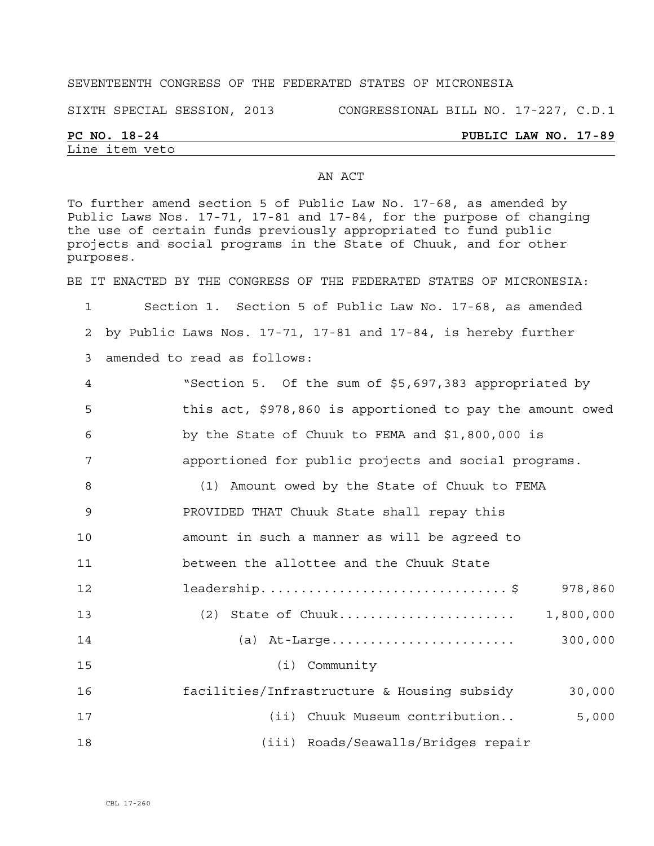### SEVENTEENTH CONGRESS OF THE FEDERATED STATES OF MICRONESIA

SIXTH SPECIAL SESSION, 2013 CONGRESSIONAL BILL NO. 17-227, C.D.1

# Line item veto

### **PC NO. 18-24 PUBLIC LAW NO. 17-89**

To further amend section 5 of Public Law No. 17-68, as amended by Public Laws Nos. 17-71, 17-81 and 17-84, for the purpose of changing the use of certain funds previously appropriated to fund public projects and social programs in the State of Chuuk, and for other purposes.

BE IT ENACTED BY THE CONGRESS OF THE FEDERATED STATES OF MICRONESIA:

1 Section 1. Section 5 of Public Law No. 17-68, as amended 2 by Public Laws Nos. 17-71, 17-81 and 17-84, is hereby further

3 amended to read as follows:

| 4  | "Section 5. Of the sum of \$5,697,383 appropriated by     |
|----|-----------------------------------------------------------|
| 5  | this act, \$978,860 is apportioned to pay the amount owed |
| 6  | by the State of Chuuk to FEMA and \$1,800,000 is          |
| 7  | apportioned for public projects and social programs.      |
| 8  | (1) Amount owed by the State of Chuuk to FEMA             |
| 9  | PROVIDED THAT Chuuk State shall repay this                |
| 10 | amount in such a manner as will be agreed to              |
| 11 | between the allottee and the Chuuk State                  |
| 12 | leadership\$<br>978,860                                   |
| 13 | 1,800,000                                                 |
| 14 | 300,000                                                   |
| 15 | $(i)$ Community                                           |
| 16 | facilities/Infrastructure & Housing subsidy<br>30,000     |
| 17 | 5,000<br>(ii) Chuuk Museum contribution                   |
| 18 | (iii) Roads/Seawalls/Bridges repair                       |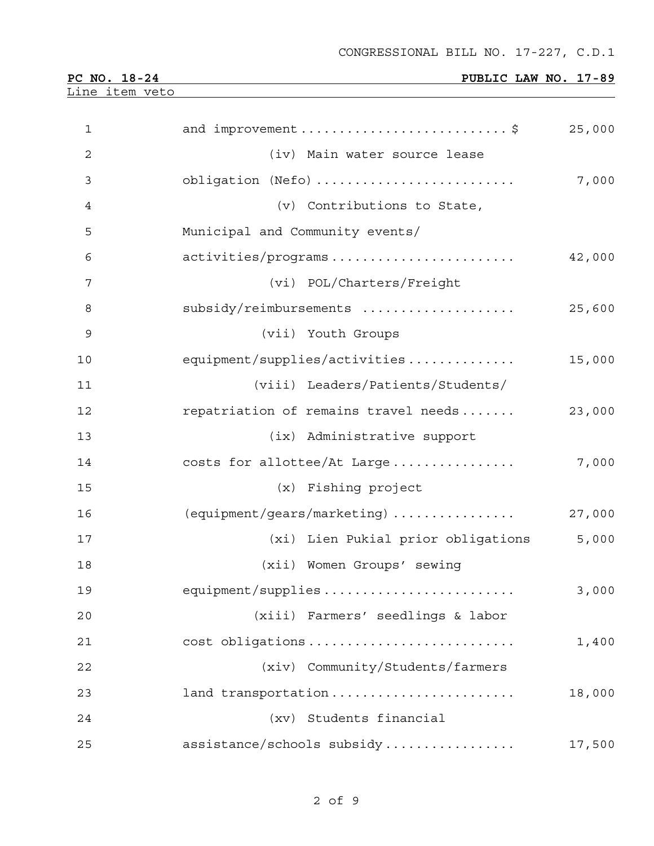**PC NO. 18-24 PUBLIC LAW NO. 17-89** 

Line item veto

| $\mathbf 1$ | and improvement \$                   | 25,000 |
|-------------|--------------------------------------|--------|
| 2           | (iv) Main water source lease         |        |
| 3           | obligation (Nefo)                    | 7,000  |
| 4           | (v) Contributions to State,          |        |
| 5           | Municipal and Community events/      |        |
| 6           | activities/programs                  | 42,000 |
| 7           | (vi) POL/Charters/Freight            |        |
| 8           | subsidy/reimbursements               | 25,600 |
| 9           | (vii) Youth Groups                   |        |
| 10          | equipment/supplies/activities        | 15,000 |
| 11          | (viii) Leaders/Patients/Students/    |        |
| 12          | repatriation of remains travel needs | 23,000 |
| 13          | (ix) Administrative support          |        |
| 14          | costs for allottee/At Large          | 7,000  |
| 15          | (x) Fishing project                  |        |
| 16          | (equipment/gears/marketing)          | 27,000 |
| 17          | (xi) Lien Pukial prior obligations   | 5,000  |
| 18          | (xii) Women Groups' sewing           |        |
| 19          | equipment/supplies                   | 3,000  |
| 20          | (xiii) Farmers' seedlings & labor    |        |
| 21          | cost obligations                     | 1,400  |
| 22          | (xiv) Community/Students/farmers     |        |
| 23          | land transportation                  | 18,000 |
| 24          | (xv) Students financial              |        |
| 25          | assistance/schools subsidy           | 17,500 |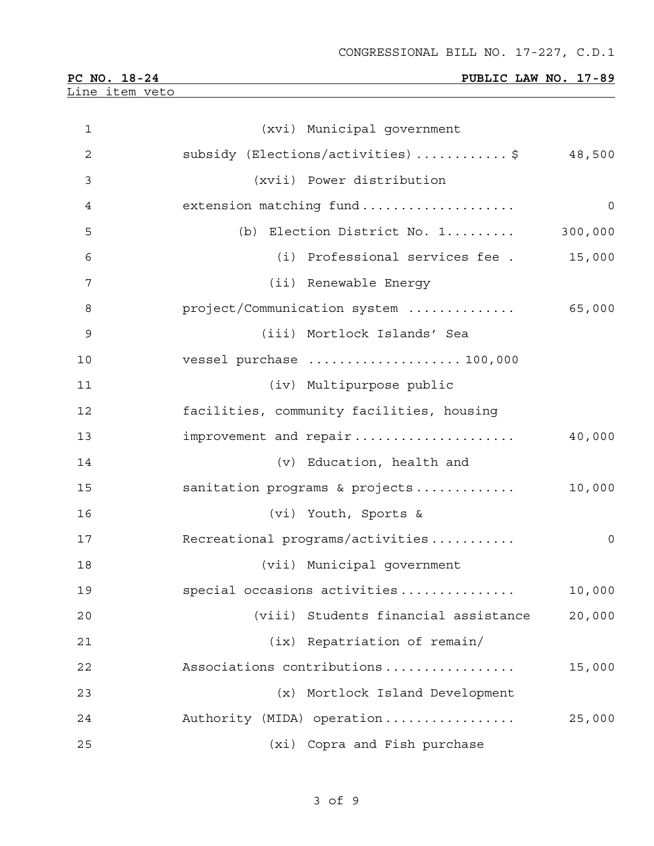|                                       | CONGRESSIONAL BILL NO. I/-447, C.D.I      |              |
|---------------------------------------|-------------------------------------------|--------------|
| PC NO. 18-24<br><u>Line item veto</u> | PUBLIC LAW NO. 17-89                      |              |
|                                       |                                           |              |
| $\mathbf{1}$                          | (xvi) Municipal government                |              |
| $\overline{2}$                        | subsidy (Elections/activities) \$ 48,500  |              |
| 3                                     | (xvii) Power distribution                 |              |
| 4                                     | extension matching fund                   | $\mathsf{O}$ |
| 5                                     | (b) Election District No. 1               | 300,000      |
| 6                                     | (i) Professional services fee.            | 15,000       |
| 7                                     | (ii) Renewable Energy                     |              |
| 8                                     | project/Communication system              | 65,000       |
| 9                                     | (iii) Mortlock Islands' Sea               |              |
| 10                                    | vessel purchase  100,000                  |              |
| 11                                    | (iv) Multipurpose public                  |              |
| 12                                    | facilities, community facilities, housing |              |
| 13                                    | improvement and repair                    | 40,000       |
| 14                                    | (v) Education, health and                 |              |
| 15                                    | sanitation programs & projects            | 10,000       |
| 16                                    | (vi) Youth, Sports &                      |              |
| 17                                    | Recreational programs/activities          | 0            |
| 18                                    | (vii) Municipal government                |              |
| 19                                    | special occasions activities              | 10,000       |
| 20                                    | (viii) Students financial assistance      | 20,000       |
| 21                                    | (ix) Repatriation of remain/              |              |
| 22                                    | Associations contributions                | 15,000       |
| 23                                    | (x) Mortlock Island Development           |              |
| 24                                    | Authority (MIDA) operation                | 25,000       |
| 25                                    | (xi) Copra and Fish purchase              |              |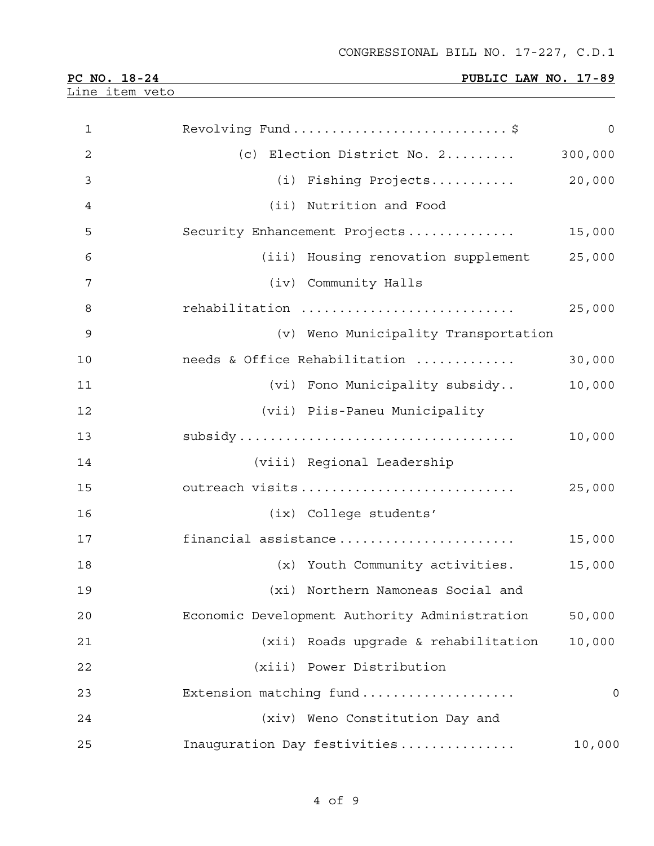| PC NO.<br>18-24 | PUBLIC LAW NO. 17-89 |
|-----------------|----------------------|
| Line item veto  |                      |

| $\mathbf{1}$   | Revolving Fund\$                              | 0       |
|----------------|-----------------------------------------------|---------|
| $\overline{2}$ | (c) Election District No. 2                   | 300,000 |
| 3              | (i) Fishing Projects                          | 20,000  |
| 4              | (ii) Nutrition and Food                       |         |
| 5              | Security Enhancement Projects                 | 15,000  |
| 6              | (iii) Housing renovation supplement           | 25,000  |
| $\overline{7}$ | (iv) Community Halls                          |         |
| 8              | rehabilitation                                | 25,000  |
| $\mathsf 9$    | (v) Weno Municipality Transportation          |         |
| 10             | needs & Office Rehabilitation                 | 30,000  |
| 11             | (vi) Fono Municipality subsidy                | 10,000  |
| 12             | (vii) Piis-Paneu Municipality                 |         |
| 13             |                                               | 10,000  |
| 14             | (viii) Regional Leadership                    |         |
| 15             | outreach visits                               | 25,000  |
| 16             | (ix) College students'                        |         |
| 17             | financial assistance                          | 15,000  |
| 18             | (x) Youth Community activities.               | 15,000  |
| 19             | (xi) Northern Namoneas Social and             |         |
| 20             | Economic Development Authority Administration | 50,000  |
| 21             | (xii) Roads upgrade & rehabilitation          | 10,000  |
| 22             | (xiii) Power Distribution                     |         |
| 23             | Extension matching fund                       | 0       |
| 24             | (xiv) Weno Constitution Day and               |         |
| 25             | Inauguration Day festivities                  | 10,000  |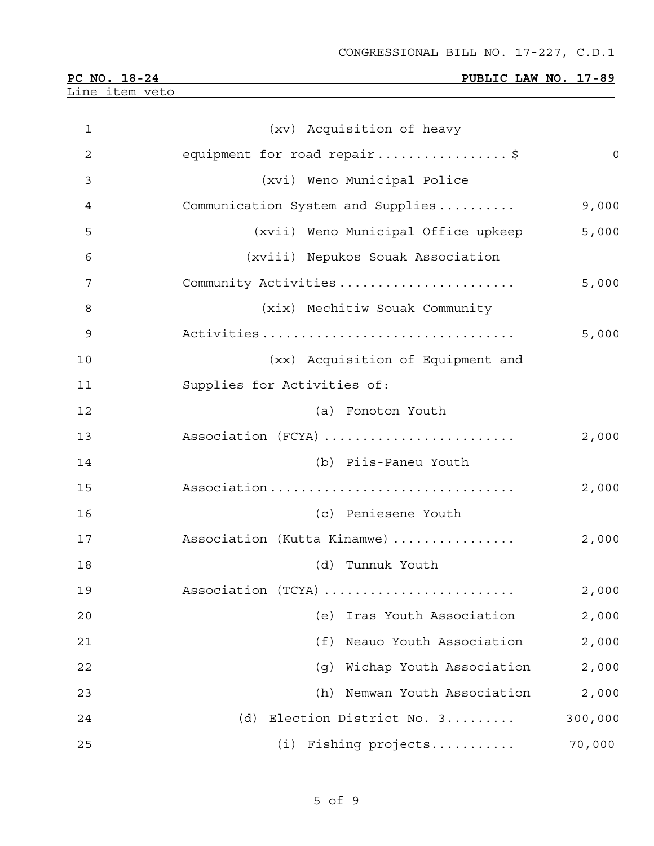| PC NO. 18-24 |  |
|--------------|--|
|              |  |

Line item veto

## **PUBLIC LAW NO. 17-89**

| $\mathbf 1$    | (xv) Acquisition of heavy           |              |
|----------------|-------------------------------------|--------------|
| $\overline{2}$ | equipment for road repair\$         | $\mathsf{O}$ |
| 3              | (xvi) Weno Municipal Police         |              |
| 4              | Communication System and Supplies   | 9,000        |
| 5              | (xvii) Weno Municipal Office upkeep | 5,000        |
| 6              | (xviii) Nepukos Souak Association   |              |
| 7              | Community Activities                | 5,000        |
| 8              | (xix) Mechitiw Souak Community      |              |
| 9              | Activities                          | 5,000        |
| 10             | (xx) Acquisition of Equipment and   |              |
| 11             | Supplies for Activities of:         |              |
| 12             | (a) Fonoton Youth                   |              |
| 13             | Association (FCYA)                  | 2,000        |
| 14             | (b) Piis-Paneu Youth                |              |
| 15             | Association                         | 2,000        |
| 16             | (c) Peniesene Youth                 |              |
| 17             | Association (Kutta Kinamwe)         | 2,000        |
| 18             | (d) Tunnuk Youth                    |              |
| 19             | Association (TCYA)                  | 2,000        |
| 20             | (e)<br>Iras Youth Association       | 2,000        |
| 21             | Neauo Youth Association<br>(f)      | 2,000        |
| 22             | Wichap Youth Association<br>(q)     | 2,000        |
| 23             | Nemwan Youth Association<br>(h)     | 2,000        |
| 24             | Election District No. 3<br>(d)      | 300,000      |
| 25             | Fishing projects<br>(i)             | 70,000       |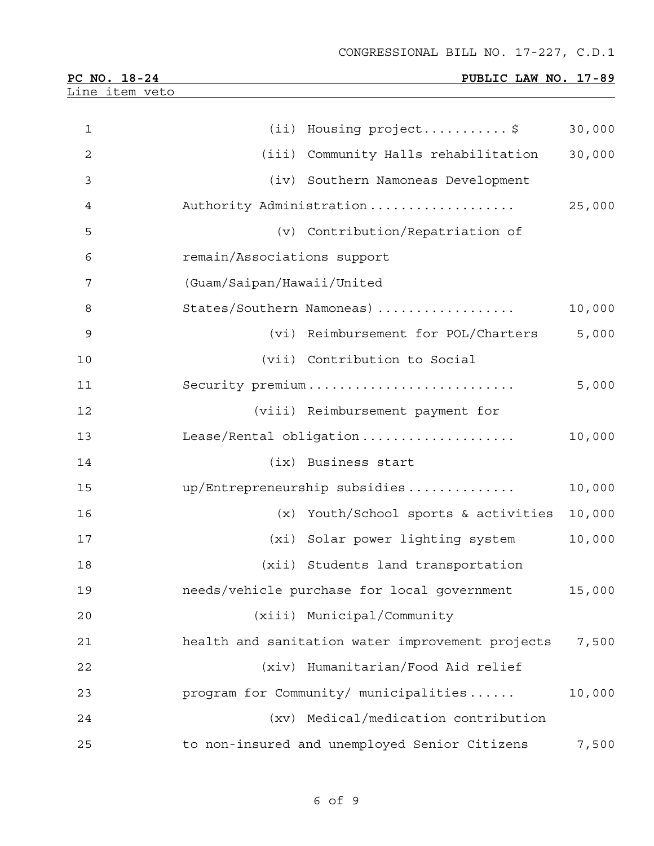| PC NO. 18-24   |                             | PUBLIC LAW NO. 17-89                             |        |
|----------------|-----------------------------|--------------------------------------------------|--------|
| Line item veto |                             |                                                  |        |
| $\mathbf 1$    |                             | (ii) Housing project\$                           | 30,000 |
| $\overline{c}$ |                             | (iii) Community Halls rehabilitation             | 30,000 |
| 3              |                             | (iv) Southern Namoneas Development               |        |
| 4              |                             | Authority Administration                         | 25,000 |
| 5              |                             | (v) Contribution/Repatriation of                 |        |
| 6              | remain/Associations support |                                                  |        |
| 7              | (Guam/Saipan/Hawaii/United  |                                                  |        |
| 8              |                             | States/Southern Namoneas)                        | 10,000 |
| 9              |                             | (vi) Reimbursement for POL/Charters              | 5,000  |
| 10             |                             | (vii) Contribution to Social                     |        |
| 11             |                             | Security premium                                 | 5,000  |
| 12             |                             | (viii) Reimbursement payment for                 |        |
| 13             |                             | Lease/Rental obligation                          | 10,000 |
| 14             |                             | (ix) Business start                              |        |
| 15             |                             | up/Entrepreneurship subsidies                    | 10,000 |
| 16             |                             | (x) Youth/School sports & activities             | 10,000 |
| 17             |                             | (xi) Solar power lighting system                 | 10,000 |
| 18             |                             | (xii) Students land transportation               |        |
| 19             |                             | needs/vehicle purchase for local government      | 15,000 |
| 20             |                             | (xiii) Municipal/Community                       |        |
| 21             |                             | health and sanitation water improvement projects | 7,500  |
| 22             |                             | (xiv) Humanitarian/Food Aid relief               |        |
| 23             |                             | program for Community/ municipalities            | 10,000 |
| 24             |                             | (xv) Medical/medication contribution             |        |
| 25             |                             | to non-insured and unemployed Senior Citizens    | 7,500  |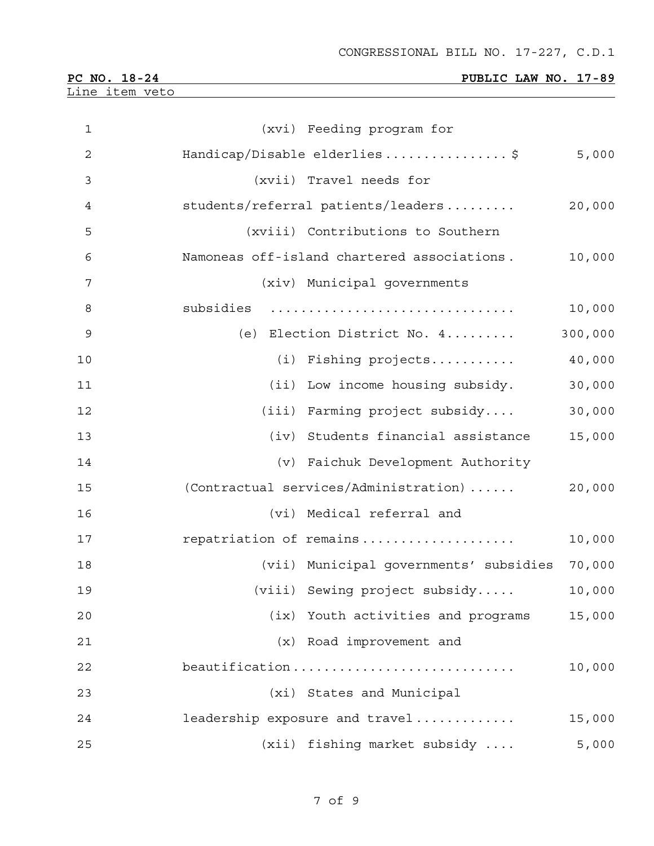| PC NO. 18-24   |  |
|----------------|--|
| Line item veto |  |

# **PUBLIC LAW NO. 17-89**

| $\mathbf 1$    | (xvi) Feeding program for                   |         |
|----------------|---------------------------------------------|---------|
| $\overline{2}$ | Handicap/Disable elderlies\$                | 5,000   |
| 3              | (xvii) Travel needs for                     |         |
| 4              | students/referral patients/leaders          | 20,000  |
| 5              | (xviii) Contributions to Southern           |         |
| 6              | Namoneas off-island chartered associations. | 10,000  |
| 7              | (xiv) Municipal governments                 |         |
| 8              | subsidies                                   | 10,000  |
| 9              | (e) Election District No. 4                 | 300,000 |
| 10             | (i) Fishing projects                        | 40,000  |
| 11             | (ii) Low income housing subsidy.            | 30,000  |
| 12             | (iii) Farming project subsidy               | 30,000  |
| 13             | (iv) Students financial assistance          | 15,000  |
| 14             | (v) Faichuk Development Authority           |         |
| 15             | (Contractual services/Administration)       | 20,000  |
| 16             | (vi) Medical referral and                   |         |
| 17             | repatriation of remains                     | 10,000  |
| 18             | (vii) Municipal governments' subsidies      | 70,000  |
| 19             | (viii) Sewing project subsidy               | 10,000  |
| 20             | (ix) Youth activities and programs          | 15,000  |
| 21             | (x) Road improvement and                    |         |
| 22             | beautification                              | 10,000  |
| 23             | (xi) States and Municipal                   |         |
| 24             | leadership exposure and travel              | 15,000  |
| 25             | (xii) fishing market subsidy                | 5,000   |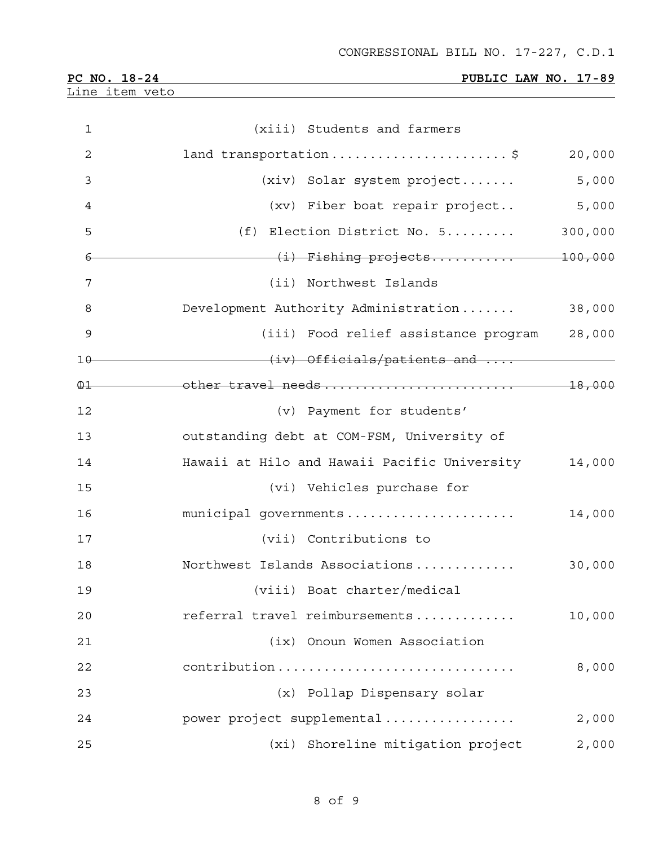| PC NO. 18-24   |  |
|----------------|--|
| Line item veto |  |

## **PUBLIC LAW NO. 17-89**

| $\mathbf 1$    | (xiii) Students and farmers                  |         |
|----------------|----------------------------------------------|---------|
| $\overline{2}$ | land transportation\$                        | 20,000  |
| 3              | (xiv) Solar system project                   | 5,000   |
| 4              | (xv) Fiber boat repair project               | 5,000   |
| 5              | (f) Election District No. 5                  | 300,000 |
| 6              | (i) Fishing projects 100,000                 |         |
| 7              | (ii) Northwest Islands                       |         |
| 8              | Development Authority Administration         | 38,000  |
| 9              | (iii) Food relief assistance program         | 28,000  |
| $10-$          | (iv) Officials/patients and                  |         |
| $\bigoplus$    |                                              |         |
| 12             | (v) Payment for students'                    |         |
| 13             | outstanding debt at COM-FSM, University of   |         |
| 14             | Hawaii at Hilo and Hawaii Pacific University | 14,000  |
| 15             | (vi) Vehicles purchase for                   |         |
| 16             | municipal governments                        | 14,000  |
| 17             | (vii) Contributions to                       |         |
| 18             | Northwest Islands Associations               | 30,000  |
| 19             | (viii) Boat charter/medical                  |         |
| 20             | referral travel reimbursements               | 10,000  |
| 21             | (ix) Onoun Women Association                 |         |
| 22             | contribution                                 | 8,000   |
| 23             | (x) Pollap Dispensary solar                  |         |
| 24             | power project supplemental                   | 2,000   |
| 25             | (xi) Shoreline mitigation project            | 2,000   |